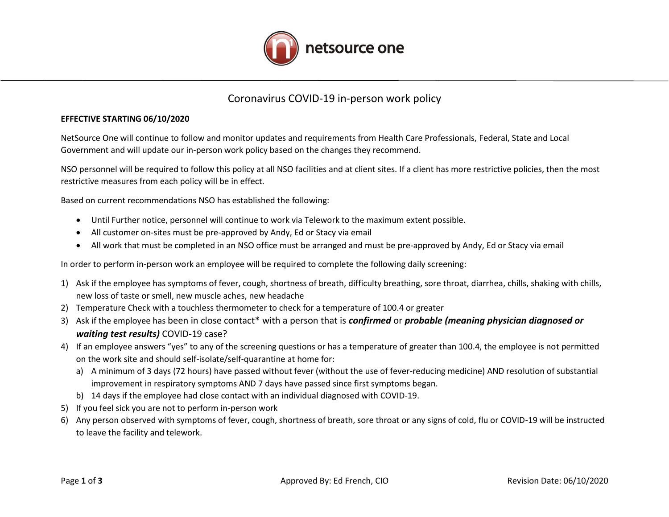

## Coronavirus COVID-19 in-person work policy

## **EFFECTIVE STARTING 06/10/2020**

NetSource One will continue to follow and monitor updates and requirements from Health Care Professionals, Federal, State and Local Government and will update our in-person work policy based on the changes they recommend.

NSO personnel will be required to follow this policy at all NSO facilities and at client sites. If a client has more restrictive policies, then the most restrictive measures from each policy will be in effect.

Based on current recommendations NSO has established the following:

- Until Further notice, personnel will continue to work via Telework to the maximum extent possible.
- All customer on-sites must be pre-approved by Andy, Ed or Stacy via email
- All work that must be completed in an NSO office must be arranged and must be pre-approved by Andy, Ed or Stacy via email

In order to perform in-person work an employee will be required to complete the following daily screening:

- 1) Ask if the employee has symptoms of fever, cough, shortness of breath, difficulty breathing, sore throat, diarrhea, chills, shaking with chills, new loss of taste or smell, new muscle aches, new headache
- 2) Temperature Check with a touchless thermometer to check for a temperature of 100.4 or greater
- 3) Ask if the employee has been in close contact\* with a person that is *confirmed* or *probable (meaning physician diagnosed or waiting test results)* COVID-19 case?
- 4) If an employee answers "yes" to any of the screening questions or has a temperature of greater than 100.4, the employee is not permitted on the work site and should self-isolate/self-quarantine at home for:
	- a) A minimum of 3 days (72 hours) have passed without fever (without the use of fever-reducing medicine) AND resolution of substantial improvement in respiratory symptoms AND 7 days have passed since first symptoms began.
	- b) 14 days if the employee had close contact with an individual diagnosed with COVID-19.
- 5) If you feel sick you are not to perform in-person work
- 6) Any person observed with symptoms of fever, cough, shortness of breath, sore throat or any signs of cold, flu or COVID-19 will be instructed to leave the facility and telework.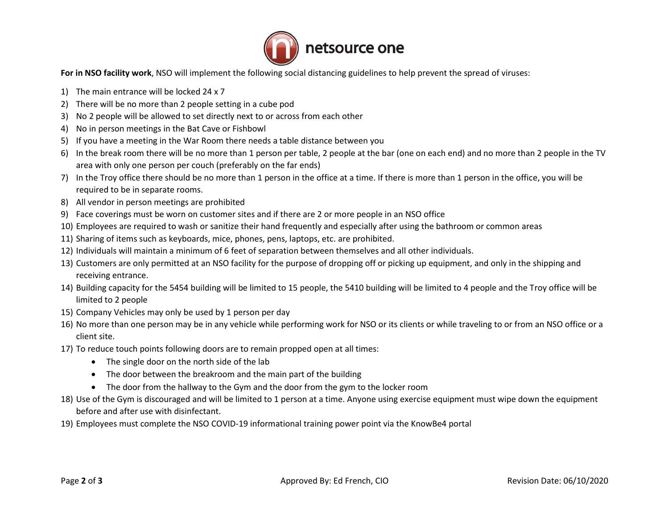

**For in NSO facility work**, NSO will implement the following social distancing guidelines to help prevent the spread of viruses:

- 1) The main entrance will be locked 24 x 7
- 2) There will be no more than 2 people setting in a cube pod
- 3) No 2 people will be allowed to set directly next to or across from each other
- 4) No in person meetings in the Bat Cave or Fishbowl
- 5) If you have a meeting in the War Room there needs a table distance between you
- 6) In the break room there will be no more than 1 person per table, 2 people at the bar (one on each end) and no more than 2 people in the TV area with only one person per couch (preferably on the far ends)
- 7) In the Troy office there should be no more than 1 person in the office at a time. If there is more than 1 person in the office, you will be required to be in separate rooms.
- 8) All vendor in person meetings are prohibited
- 9) Face coverings must be worn on customer sites and if there are 2 or more people in an NSO office
- 10) Employees are required to wash or sanitize their hand frequently and especially after using the bathroom or common areas
- 11) Sharing of items such as keyboards, mice, phones, pens, laptops, etc. are prohibited.
- 12) Individuals will maintain a minimum of 6 feet of separation between themselves and all other individuals.
- 13) Customers are only permitted at an NSO facility for the purpose of dropping off or picking up equipment, and only in the shipping and receiving entrance.
- 14) Building capacity for the 5454 building will be limited to 15 people, the 5410 building will be limited to 4 people and the Troy office will be limited to 2 people
- 15) Company Vehicles may only be used by 1 person per day
- 16) No more than one person may be in any vehicle while performing work for NSO or its clients or while traveling to or from an NSO office or a client site.
- 17) To reduce touch points following doors are to remain propped open at all times:
	- The single door on the north side of the lab
	- The door between the breakroom and the main part of the building
	- The door from the hallway to the Gym and the door from the gym to the locker room
- 18) Use of the Gym is discouraged and will be limited to 1 person at a time. Anyone using exercise equipment must wipe down the equipment before and after use with disinfectant.
- 19) Employees must complete the NSO COVID-19 informational training power point via the KnowBe4 portal